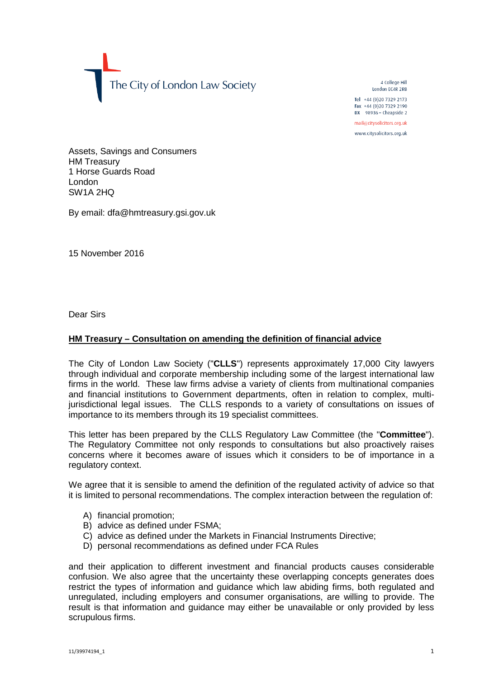The City of London Law Society

4 College Hill London FC4R 2RB

Tel +44 (0)20 7329 2173 Fax +44 (0) 20 7329 2190 DX  $98936$  - Cheapside 2

mail@citysolicitors.org.uk

www.citysolicitors.org.uk

Assets, Savings and Consumers HM Treasury 1 Horse Guards Road London SW1A 2HQ

By email: dfa@hmtreasury.gsi.gov.uk

15 November 2016

Dear Sirs

## **HM Treasury – Consultation on amending the definition of financial advice**

The City of London Law Society ("**CLLS**") represents approximately 17,000 City lawyers through individual and corporate membership including some of the largest international law firms in the world. These law firms advise a variety of clients from multinational companies and financial institutions to Government departments, often in relation to complex, multijurisdictional legal issues. The CLLS responds to a variety of consultations on issues of importance to its members through its 19 specialist committees.

This letter has been prepared by the CLLS Regulatory Law Committee (the "**Committee**"). The Regulatory Committee not only responds to consultations but also proactively raises concerns where it becomes aware of issues which it considers to be of importance in a regulatory context.

We agree that it is sensible to amend the definition of the regulated activity of advice so that it is limited to personal recommendations. The complex interaction between the regulation of:

- A) financial promotion;
- B) advice as defined under FSMA;
- C) advice as defined under the Markets in Financial Instruments Directive;
- D) personal recommendations as defined under FCA Rules

and their application to different investment and financial products causes considerable confusion. We also agree that the uncertainty these overlapping concepts generates does restrict the types of information and guidance which law abiding firms, both regulated and unregulated, including employers and consumer organisations, are willing to provide. The result is that information and guidance may either be unavailable or only provided by less scrupulous firms.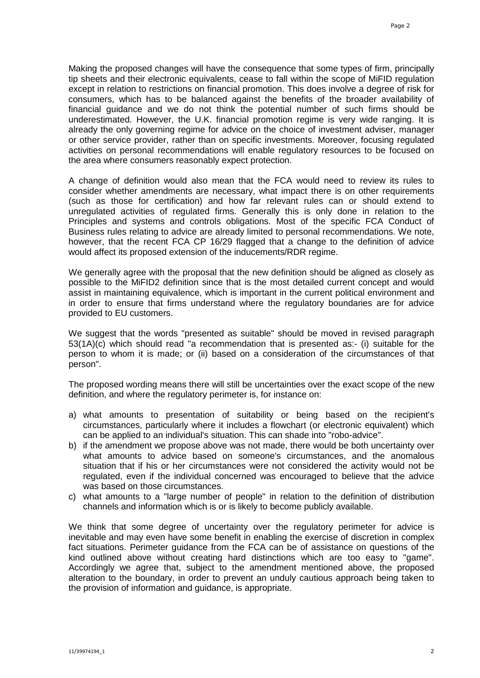Making the proposed changes will have the consequence that some types of firm, principally tip sheets and their electronic equivalents, cease to fall within the scope of MiFID regulation except in relation to restrictions on financial promotion. This does involve a degree of risk for consumers, which has to be balanced against the benefits of the broader availability of financial guidance and we do not think the potential number of such firms should be underestimated. However, the U.K. financial promotion regime is very wide ranging. It is already the only governing regime for advice on the choice of investment adviser, manager or other service provider, rather than on specific investments. Moreover, focusing regulated activities on personal recommendations will enable regulatory resources to be focused on the area where consumers reasonably expect protection.

A change of definition would also mean that the FCA would need to review its rules to consider whether amendments are necessary, what impact there is on other requirements (such as those for certification) and how far relevant rules can or should extend to unregulated activities of regulated firms. Generally this is only done in relation to the Principles and systems and controls obligations. Most of the specific FCA Conduct of Business rules relating to advice are already limited to personal recommendations. We note, however, that the recent FCA CP 16/29 flagged that a change to the definition of advice would affect its proposed extension of the inducements/RDR regime.

We generally agree with the proposal that the new definition should be aligned as closely as possible to the MiFID2 definition since that is the most detailed current concept and would assist in maintaining equivalence, which is important in the current political environment and in order to ensure that firms understand where the regulatory boundaries are for advice provided to EU customers.

We suggest that the words "presented as suitable" should be moved in revised paragraph 53(1A)(c) which should read "a recommendation that is presented as:- (i) suitable for the person to whom it is made; or (ii) based on a consideration of the circumstances of that person".

The proposed wording means there will still be uncertainties over the exact scope of the new definition, and where the regulatory perimeter is, for instance on:

- a) what amounts to presentation of suitability or being based on the recipient's circumstances, particularly where it includes a flowchart (or electronic equivalent) which can be applied to an individual's situation. This can shade into "robo-advice".
- b) if the amendment we propose above was not made, there would be both uncertainty over what amounts to advice based on someone's circumstances, and the anomalous situation that if his or her circumstances were not considered the activity would not be regulated, even if the individual concerned was encouraged to believe that the advice was based on those circumstances.
- c) what amounts to a "large number of people" in relation to the definition of distribution channels and information which is or is likely to become publicly available.

We think that some degree of uncertainty over the regulatory perimeter for advice is inevitable and may even have some benefit in enabling the exercise of discretion in complex fact situations. Perimeter guidance from the FCA can be of assistance on questions of the kind outlined above without creating hard distinctions which are too easy to "game". Accordingly we agree that, subject to the amendment mentioned above, the proposed alteration to the boundary, in order to prevent an unduly cautious approach being taken to the provision of information and guidance, is appropriate.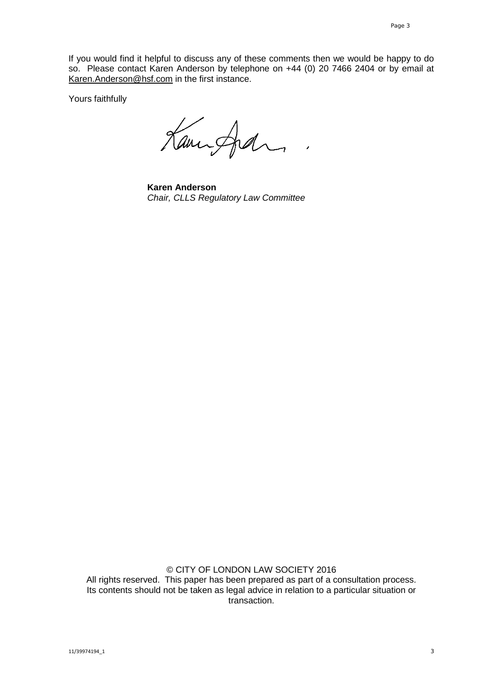If you would find it helpful to discuss any of these comments then we would be happy to do so. Please contact Karen Anderson by telephone on +44 (0) 20 7466 2404 or by email at [Karen.Anderson@hsf.com](mailto:Karen.Anderson@hsf.com) in the first instance.

Yours faithfully

Kampfel

**Karen Anderson** *Chair, CLLS Regulatory Law Committee*

© CITY OF LONDON LAW SOCIETY 2016 All rights reserved. This paper has been prepared as part of a consultation process. Its contents should not be taken as legal advice in relation to a particular situation or transaction.